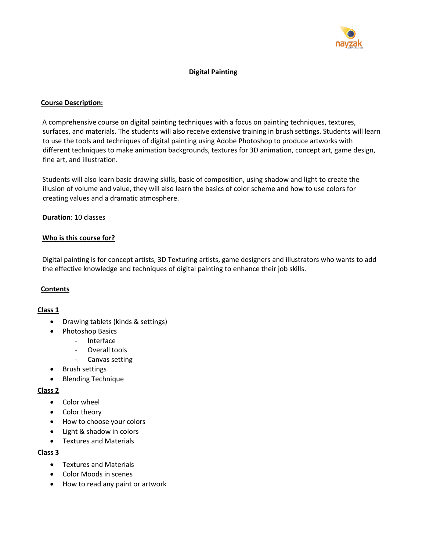

# **Digital Painting**

### **Course Description:**

A comprehensive course on digital painting techniques with a focus on painting techniques, textures, surfaces, and materials. The students will also receive extensive training in brush settings. Students will learn to use the tools and techniques of digital painting using Adobe Photoshop to produce artworks with different techniques to make animation backgrounds, textures for 3D animation, concept art, game design, fine art, and illustration.

Students will also learn basic drawing skills, basic of composition, using shadow and light to create the illusion of volume and value, they will also learn the basics of color scheme and how to use colors for creating values and a dramatic atmosphere.

### **Duration**: 10 classes

### **Who is this course for?**

Digital painting is for concept artists, 3D Texturing artists, game designers and illustrators who wants to add the effective knowledge and techniques of digital painting to enhance their job skills.

#### **Contents**

### **Class 1**

- Drawing tablets (kinds & settings)
- Photoshop Basics
	- Interface
		- Overall tools
		- Canvas setting
- Brush settings
- Blending Technique

#### **Class 2**

- Color wheel
- Color theory
- How to choose your colors
- Light & shadow in colors
- Textures and Materials

#### **Class 3**

- Textures and Materials
- Color Moods in scenes
- How to read any paint or artwork